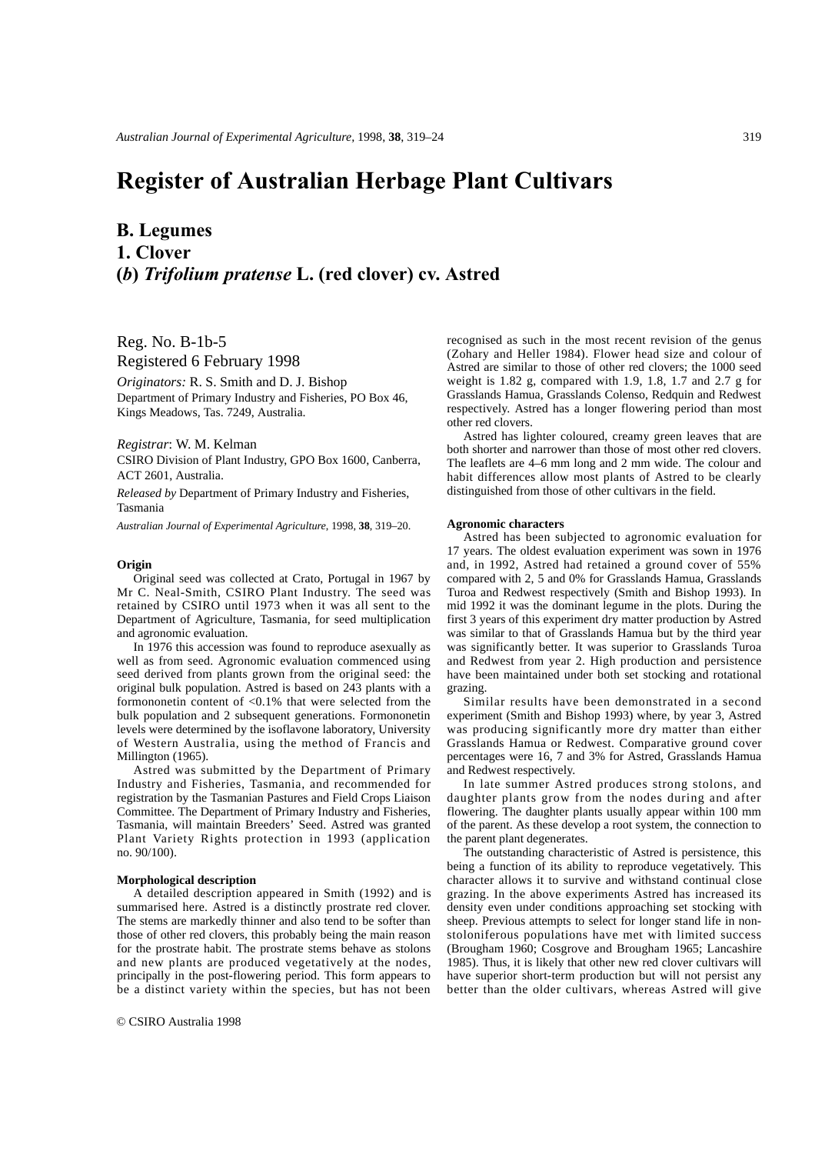# **Register of Australian Herbage Plant Cultivars**

## **B. Legumes 1. Clover (***b***)** *Trifolium pratense* **L. (red clover) cv. Astred**

Reg. No. B-1b-5

Registered 6 February 1998

*Originators:* R. S. Smith and D. J. Bishop Department of Primary Industry and Fisheries, PO Box 46, Kings Meadows, Tas. 7249, Australia.

#### *Registrar*: W. M. Kelman

CSIRO Division of Plant Industry, GPO Box 1600, Canberra, ACT 2601, Australia.

*Released by* Department of Primary Industry and Fisheries, Tasmania

*Australian Journal of Experimental Agriculture*, 1998, **38**, 319–20.

#### **Origin**

Original seed was collected at Crato, Portugal in 1967 by Mr C. Neal-Smith, CSIRO Plant Industry. The seed was retained by CSIRO until 1973 when it was all sent to the Department of Agriculture, Tasmania, for seed multiplication and agronomic evaluation.

In 1976 this accession was found to reproduce asexually as well as from seed. Agronomic evaluation commenced using seed derived from plants grown from the original seed: the original bulk population. Astred is based on 243 plants with a formononetin content of <0.1% that were selected from the bulk population and 2 subsequent generations. Formononetin levels were determined by the isoflavone laboratory, University of Western Australia, using the method of Francis and Millington (1965).

Astred was submitted by the Department of Primary Industry and Fisheries, Tasmania, and recommended for registration by the Tasmanian Pastures and Field Crops Liaison Committee. The Department of Primary Industry and Fisheries, Tasmania, will maintain Breeders' Seed. Astred was granted Plant Variety Rights protection in 1993 (application no. 90/100).

#### **Morphological description**

A detailed description appeared in Smith (1992) and is summarised here. Astred is a distinctly prostrate red clover. The stems are markedly thinner and also tend to be softer than those of other red clovers, this probably being the main reason for the prostrate habit. The prostrate stems behave as stolons and new plants are produced vegetatively at the nodes, principally in the post-flowering period. This form appears to be a distinct variety within the species, but has not been recognised as such in the most recent revision of the genus (Zohary and Heller 1984). Flower head size and colour of Astred are similar to those of other red clovers; the 1000 seed weight is 1.82 g, compared with 1.9, 1.8, 1.7 and 2.7 g for Grasslands Hamua, Grasslands Colenso, Redquin and Redwest respectively. Astred has a longer flowering period than most other red clovers.

Astred has lighter coloured, creamy green leaves that are both shorter and narrower than those of most other red clovers. The leaflets are 4–6 mm long and 2 mm wide. The colour and habit differences allow most plants of Astred to be clearly distinguished from those of other cultivars in the field.

#### **Agronomic characters**

Astred has been subjected to agronomic evaluation for 17 years. The oldest evaluation experiment was sown in 1976 and, in 1992, Astred had retained a ground cover of 55% compared with 2, 5 and 0% for Grasslands Hamua, Grasslands Turoa and Redwest respectively (Smith and Bishop 1993). In mid 1992 it was the dominant legume in the plots. During the first 3 years of this experiment dry matter production by Astred was similar to that of Grasslands Hamua but by the third year was significantly better. It was superior to Grasslands Turoa and Redwest from year 2. High production and persistence have been maintained under both set stocking and rotational grazing.

Similar results have been demonstrated in a second experiment (Smith and Bishop 1993) where, by year 3, Astred was producing significantly more dry matter than either Grasslands Hamua or Redwest. Comparative ground cover percentages were 16, 7 and 3% for Astred, Grasslands Hamua and Redwest respectively.

In late summer Astred produces strong stolons, and daughter plants grow from the nodes during and after flowering. The daughter plants usually appear within 100 mm of the parent. As these develop a root system, the connection to the parent plant degenerates.

The outstanding characteristic of Astred is persistence, this being a function of its ability to reproduce vegetatively. This character allows it to survive and withstand continual close grazing. In the above experiments Astred has increased its density even under conditions approaching set stocking with sheep. Previous attempts to select for longer stand life in nonstoloniferous populations have met with limited success (Brougham 1960; Cosgrove and Brougham 1965; Lancashire 1985). Thus, it is likely that other new red clover cultivars will have superior short-term production but will not persist any better than the older cultivars, whereas Astred will give